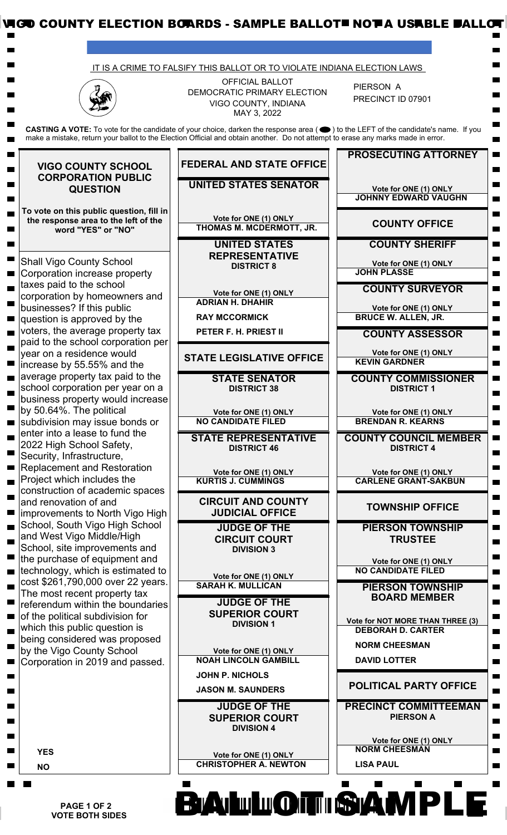